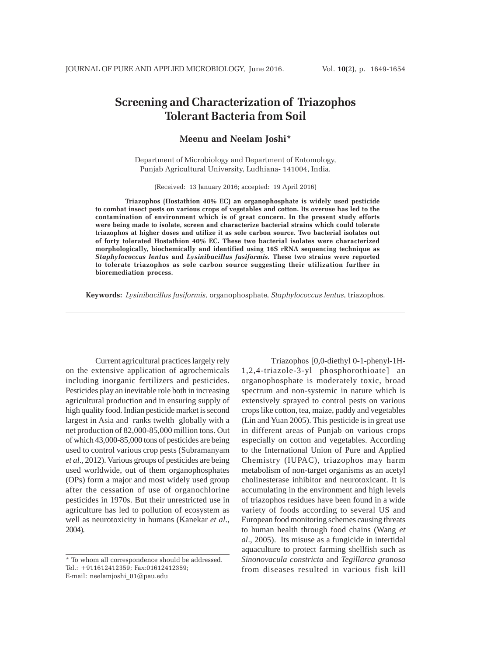# **Screening and Characterization of Triazophos Tolerant Bacteria from Soil**

# **Meenu and Neelam Joshi\***

Department of Microbiology and Department of Entomology, Punjab Agricultural University, Ludhiana- 141004, India.

(Received: 13 January 2016; accepted: 19 April 2016)

**Triazophos (Hostathion 40% EC) an organophosphate is widely used pesticide to combat insect pests on various crops of vegetables and cotton. Its overuse has led to the contamination of environment which is of great concern. In the present study efforts were being made to isolate, screen and characterize bacterial strains which could tolerate triazophos at higher doses and utilize it as sole carbon source. Two bacterial isolates out of forty tolerated Hostathion 40% EC. These two bacterial isolates were characterized morphologically, biochemically and identified using 16S rRNA sequencing technique as** *Staphylococcus lentus* **and** *Lysinibacillus fusiformis.* **These two strains were reported to tolerate triazophos as sole carbon source suggesting their utilization further in bioremediation process.**

**Keywords:** *Lysinibacillus fusiformis,* organophosphate*, Staphylococcus lentus,* triazophos.

Current agricultural practices largely rely on the extensive application of agrochemicals including inorganic fertilizers and pesticides. Pesticides play an inevitable role both in increasing agricultural production and in ensuring supply of high quality food. Indian pesticide market is second largest in Asia and ranks twelth globally with a net production of 82,000-85,000 million tons. Out of which 43,000-85,000 tons of pesticides are being used to control various crop pests (Subramanyam *et al*., 2012). Various groups of pesticides are being used worldwide, out of them organophosphates (OPs) form a major and most widely used group after the cessation of use of organochlorine pesticides in 1970s. But their unrestricted use in agriculture has led to pollution of ecosystem as well as neurotoxicity in humans (Kanekar *et al*., 2004).

Triazophos [0,0-diethyl 0-1-phenyl-1H-1,2,4-triazole-3-yl phosphorothioate] an organophosphate is moderately toxic, broad spectrum and non-systemic in nature which is extensively sprayed to control pests on various crops like cotton, tea, maize, paddy and vegetables (Lin and Yuan 2005). This pesticide is in great use in different areas of Punjab on various crops especially on cotton and vegetables. According to the International Union of Pure and Applied Chemistry (IUPAC), triazophos may harm metabolism of non-target organisms as an acetyl cholinesterase inhibitor and neurotoxicant. It is accumulating in the environment and high levels of triazophos residues have been found in a wide variety of foods according to several US and European food monitoring schemes causing threats to human health through food chains (Wang *et al*., 2005). Its misuse as a fungicide in intertidal aquaculture to protect farming shellfish such as *Sinonovacula constricta* and *Tegillarca granosa* from diseases resulted in various fish kill

<sup>\*</sup> To whom all correspondence should be addressed. Tel.: +911612412359; Fax:01612412359; E-mail: neelamjoshi\_01@pau.edu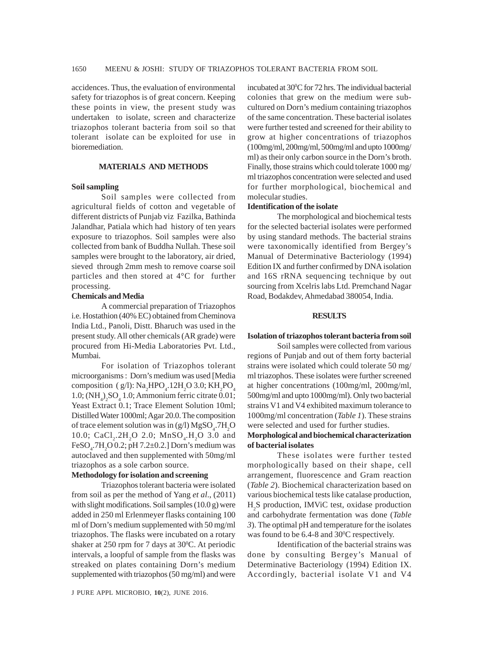accidences. Thus, the evaluation of environmental safety for triazophos is of great concern. Keeping these points in view, the present study was undertaken to isolate, screen and characterize triazophos tolerant bacteria from soil so that tolerant isolate can be exploited for use in bioremediation.

## **MATERIALS AND METHODS**

## **Soil sampling**

Soil samples were collected from agricultural fields of cotton and vegetable of different districts of Punjab viz Fazilka, Bathinda Jalandhar, Patiala which had history of ten years exposure to triazophos. Soil samples were also collected from bank of Buddha Nullah. These soil samples were brought to the laboratory, air dried, sieved through 2mm mesh to remove coarse soil particles and then stored at 4°C for further processing.

## **Chemicals and Media**

A commercial preparation of Triazophos i.e. Hostathion (40% EC) obtained from Cheminova India Ltd., Panoli, Distt. Bharuch was used in the present study. All other chemicals (AR grade) were procured from Hi-Media Laboratories Pvt. Ltd., Mumbai.

For isolation of Triazophos tolerant microorganisms : Dorn's medium was used [Media composition (g/l):  $\text{Na}_2\text{HPO}_4$ .12H<sub>2</sub>O 3.0; KH<sub>2</sub>PO<sub>4</sub> 1.0;  $(NH<sub>4</sub>)<sub>2</sub>SO<sub>4</sub>$  1.0; Ammonium ferric citrate 0.01; Yeast Extract 0.1; Trace Element Solution 10ml; Distilled Water 1000ml; Agar 20.0. The composition of trace element solution was in (g/l)  $MgSO_4$ .7H<sub>2</sub>O 10.0; CaCl<sub>2</sub>.2H<sub>2</sub>O 2.0; MnSO<sub>4</sub>.H<sub>2</sub>O 3.0 and FeSO<sub>4</sub>.7H<sub>2</sub>O 0.2; pH 7.2 $\pm$ 0.2.] Dorn's medium was autoclaved and then supplemented with 50mg/ml triazophos as a sole carbon source.

# **Methodology for isolation and screening**

Triazophos tolerant bacteria were isolated from soil as per the method of Yang *et al*., (2011) with slight modifications. Soil samples (10.0 g) were added in 250 ml Erlenmeyer flasks containing 100 ml of Dorn's medium supplemented with 50 mg/ml triazophos. The flasks were incubated on a rotary shaker at 250 rpm for 7 days at  $30^{\circ}$ C. At periodic intervals, a loopful of sample from the flasks was streaked on plates containing Dorn's medium supplemented with triazophos (50 mg/ml) and were

incubated at 30°C for 72 hrs. The individual bacterial colonies that grew on the medium were subcultured on Dorn's medium containing triazophos of the same concentration. These bacterial isolates were further tested and screened for their ability to grow at higher concentrations of triazophos (100mg/ml, 200mg/ml, 500mg/ml and upto 1000mg/ ml) as their only carbon source in the Dorn's broth. Finally, those strains which could tolerate 1000 mg/ ml triazophos concentration were selected and used for further morphological, biochemical and molecular studies.

## **Identification of the isolate**

The morphological and biochemical tests for the selected bacterial isolates were performed by using standard methods. The bacterial strains were taxonomically identified from Bergey's Manual of Determinative Bacteriology (1994) Edition IX and further confirmed by DNA isolation and 16S rRNA sequencing technique by out sourcing from Xcelris labs Ltd. Premchand Nagar Road, Bodakdev, Ahmedabad 380054, India.

#### **RESULTS**

#### **Isolation of triazophos tolerant bacteria from soil**

Soil samples were collected from various regions of Punjab and out of them forty bacterial strains were isolated which could tolerate 50 mg/ ml triazophos. These isolates were further screened at higher concentrations (100mg/ml, 200mg/ml, 500mg/ml and upto 1000mg/ml). Only two bacterial strains V1 and V4 exhibited maximum tolerance to 1000mg/ml concentration (*Table 1*). These strains were selected and used for further studies.

# **Morphological and biochemical characterization of bacterial isolates**

These isolates were further tested morphologically based on their shape, cell arrangement, fluorescence and Gram reaction (*Table 2*). Biochemical characterization based on various biochemical tests like catalase production, H2 S production, IMViC test, oxidase production and carbohydrate fermentation was done (*Table 3*). The optimal pH and temperature for the isolates was found to be 6.4-8 and 30°C respectively.

Identification of the bacterial strains was done by consulting Bergey's Manual of Determinative Bacteriology (1994) Edition IX. Accordingly, bacterial isolate V1 and V4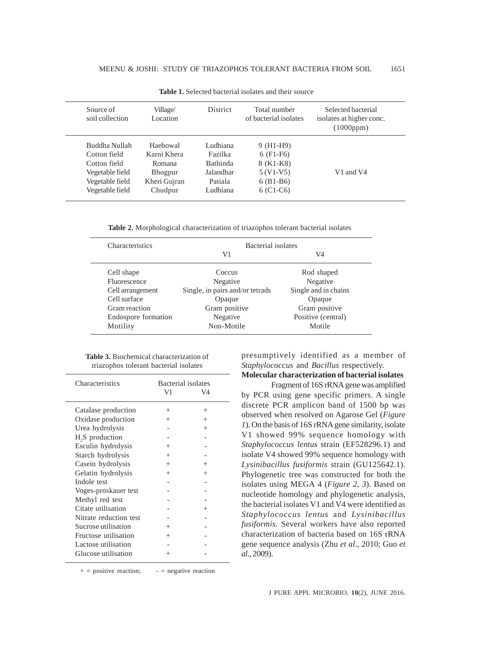| Source of<br>soil collection | Village/<br>Location | <b>District</b> | Total number<br>of bacterial isolates | Selected bacterial<br>isolates at higher conc.<br>(1000ppm) |
|------------------------------|----------------------|-----------------|---------------------------------------|-------------------------------------------------------------|
| Buddha Nullah                | Haebowal             | Ludhiana        | $9$ (H <sub>1</sub> -H <sub>9</sub> ) |                                                             |
| Cotton field                 | Karni Khera          | Fazilka         | $6$ (F1-F6)                           |                                                             |
| Cotton field                 | Romana               | <b>Bathinda</b> | 8 (K1-K8)                             |                                                             |
| Vegetable field              | Bhogpur              | Jalandhar       | $5(V1-V5)$                            | V1 and V4                                                   |
| Vegetable field              | Kheri Gujran         | Patiala         | $6(B1-B6)$                            |                                                             |
| Vegetable field              | Chudpur              | Ludhiana        | $6$ (C1-C6)                           |                                                             |

**Table 1.** Selected bacterial isolates and their source

**Table 2.** Morphological characterization of triazophos tolerant bacterial isolates

| Characteristics     | Bacterial isolates              |                      |  |
|---------------------|---------------------------------|----------------------|--|
|                     | V1                              | V4                   |  |
| Cell shape          | Coccus                          | Rod shaped           |  |
| Fluorescence        | Negative                        | Negative             |  |
| Cell arrangement    | Single, in pairs and/or tetrads | Single and in chains |  |
| Cell surface        | Opaque                          | Opaque               |  |
| Gram reaction       | Gram positive                   | Gram positive        |  |
| Endospore formation | Negative                        | Positive (central)   |  |
| Motility            | Non-Motile                      | Motile               |  |

| <b>Table 3.</b> Biochemical characterization of |  |
|-------------------------------------------------|--|
| triazophos tolerant bacterial isolates          |  |

| Characteristics             | Bacterial isolates<br>V1<br>V4 |        |
|-----------------------------|--------------------------------|--------|
| Catalase production         | $^{+}$                         | $^+$   |
| Oxidase production          | $^{+}$                         | $^{+}$ |
| Urea hydrolysis             |                                | $^{+}$ |
| H <sub>2</sub> S production |                                |        |
| Esculin hydrolysis          | $^{+}$                         |        |
| Starch hydrolysis           | $^{+}$                         |        |
| Casein hydrolysis           | $^{+}$                         | $^{+}$ |
| Gelatin hydrolysis          | $^{+}$                         | $^+$   |
| Indole test                 |                                |        |
| Voges-proskauer test        |                                |        |
| Methyl red test             |                                |        |
| Citate utilisation          |                                | $^+$   |
| Nitrate reduction test      |                                |        |
| Sucrose utilisation         | $^+$                           |        |
| Fructose utilisation        | $^+$                           |        |
| Lactose utilisation         |                                |        |
| Glucose utilisation         | $^{+}$                         |        |

presumptively identified as a member of *Staphylococcus* and *Bacillus* respectively.

**Molecular characterization of bacterial isolates**

Fragment of 16S rRNA gene was amplified by PCR using gene specific primers. A single discrete PCR amplicon band of 1500 bp was observed when resolved on Agarose Gel (*Figure 1*). On the basis of 16S rRNA gene similarity, isolate V1 showed 99% sequence homology with *Staphylococcus lentus* strain (EF528296.1) and isolate V4 showed 99% sequence homology with *Lysinibacillus fusiformis* strain (GU125642.1). Phylogenetic tree was constructed for both the isolates using MEGA 4 (*Figure 2, 3*). Based on nucleotide homology and phylogenetic analysis, the bacterial isolates V1 and V4 were identified as *Staphylococcus lentus* and *Lysinibacillus fusiformis.* Several workers have also reported characterization of bacteria based on 16S rRNA gene sequence analysis (Zhu *et al*., 2010; Guo *et al*., 2009).

 $+$  = positive reaction;  $-$  = negative reaction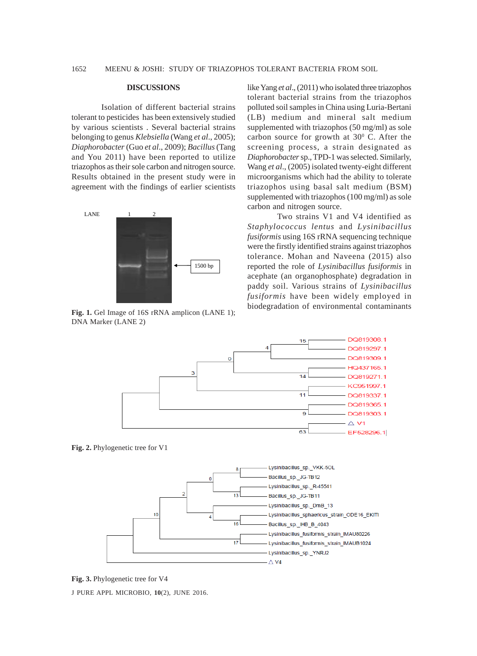#### **DISCUSSIONS**

Isolation of different bacterial strains tolerant to pesticides has been extensively studied by various scientists . Several bacterial strains belonging to genus *Klebsiella* (Wang *et al*., 2005); *Diaphorobacter* (Guo *et al*., 2009); *Bacillus* (Tang and You 2011) have been reported to utilize triazophos as their sole carbon and nitrogen source. Results obtained in the present study were in agreement with the findings of earlier scientists



**Fig. 1.** Gel Image of 16S rRNA amplicon (LANE 1); DNA Marker (LANE 2)

like Yang *et al*., (2011) who isolated three triazophos tolerant bacterial strains from the triazophos polluted soil samples in China using Luria-Bertani (LB) medium and mineral salt medium supplemented with triazophos (50 mg/ml) as sole carbon source for growth at  $30^{\circ}$  C. After the screening process, a strain designated as *Diaphorobacter* sp., TPD-1 was selected. Similarly, Wang *et al*., (2005) isolated twenty-eight different microorganisms which had the ability to tolerate triazophos using basal salt medium (BSM) supplemented with triazophos (100 mg/ml) as sole carbon and nitrogen source.

Two strains V1 and V4 identified as *Staphylococcus lentus* and *Lysinibacillus fusiformis* using 16S rRNA sequencing technique were the firstly identified strains against triazophos tolerance. Mohan and Naveena (2015) also reported the role of *Lysinibacillus fusiformis* in acephate (an organophosphate) degradation in paddy soil. Various strains of *Lysinibacillus fusiformis* have been widely employed in biodegradation of environmental contaminants



**Fig. 2.** Phylogenetic tree for V1



**Fig. 3.** Phylogenetic tree for V4

J PURE APPL MICROBIO*,* **10**(2), JUNE 2016.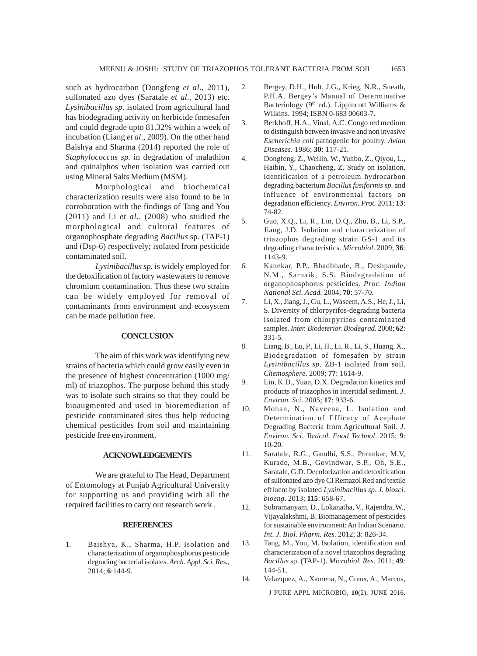such as hydrocarbon (Dongfeng *et al*., 2011), sulfonated azo dyes (Saratale *et al*., 2013) etc. *Lysinibacillus sp.* isolated from agricultural land has biodegrading activity on herbicide fomesafen and could degrade upto 81.32% within a week of incubation (Liang *et al*., 2009). On the other hand Baishya and Sharma (2014) reported the role of *Staphylococcus sp.* in degradation of malathion and quinalphos when isolation was carried out using Mineral Salts Medium (MSM).

Morphological and biochemical characterization results were also found to be in corroboration with the findings of Tang and You (2011) and Li *et al*., (2008) who studied the morphological and cultural features of organophosphate degrading *Bacillus* sp. (TAP-1) and (Dsp-6) respectively; isolated from pesticide contaminated soil.

*Lysinibacillus sp.* is widely employed for the detoxification of factory wastewaters to remove chromium contamination. Thus these two strains can be widely employed for removal of contaminants from environment and ecosystem can be made pollution free.

## **CONCLUSION**

The aim of this work was identifying new strains of bacteria which could grow easily even in the presence of highest concentration (1000 mg/ ml) of triazophos. The purpose behind this study was to isolate such strains so that they could be bioaugmented and used in bioremediation of pesticide contaminated sites thus help reducing chemical pesticides from soil and maintaining pesticide free environment.

# **ACKNOWLEDGEMENTS**

We are grateful to The Head, Department of Entomology at Punjab Agricultural University for supporting us and providing with all the required facilities to carry out research work .

#### **REFERENCES**

1. Baishya, K., Sharma, H.P. Isolation and characterization of organophosphorus pesticide degrading bacterial isolates. *Arch. Appl. Sci. Res.,* 2014; **6**:144-9.

- 2. Bergey, D.H., Holt, J.G., Krieg, N.R., Sneath, P.H.A. Bergey's Manual of Determinative Bacteriology (9<sup>th</sup> ed.). Lippincott Williams & Wilkins. 1994; ISBN 0-683 00603-7.
- 3. Berkhoff, H.A., Vinal, A.C. Congo red medium to distinguish between invasive and non invasive *Escherichia coli* pathogenic for poultry. *Avian Diseases*. 1986; **30**: 117-21.
- 4. Dongfeng, Z., Weilin, W., Yunbo, Z., Qiyou, L., Haibin, Y., Chaocheng, Z. Study on isolation, identification of a petroleum hydrocarbon degrading bacterium *Bacillus fusiformis sp.* and influence of environmental factors on degradation efficiency. *Environ. Prot.* 2011; **13**: 74-82.
- 5. Guo, X.Q., Li, R., Lin, D.Q., Zhu, B., Li, S.P., Jiang, J.D. Isolation and characterization of triazophos degrading strain GS-1 and its degrading characteristics. *Microbiol*. 2009; **36**: 1143-9.
- 6. Kanekar, P.P., Bhadbhade, B., Deshpande, N.M., Sarnaik, S.S. Biodegradation of organophosphorus pesticides. *Proc. Indian National Sci. Acad.* 2004; **70**: 57-70.
- 7. Li, X., Jiang, J., Gu, L., Waseem, A.S., He, J., Li, S. Diversity of chlorpyrifos-degrading bacteria isolated from chlorpyrifos contaminated samples. *Inter. Biodeterior. Biodegrad.* 2008; **62**: 331-5.
- 8. Liang, B., Lu, P., Li, H., Li, R., Li, S., Huang, X., Biodegradation of fomesafen by strain *Lysinibacillus sp*. ZB-1 isolated from soil. *Chemosphere*. 2009; **77**: 1614-9.
- 9. Lin, K.D., Yuan, D.X. Degradation kinetics and products of triazophos in intertidal sediment. *J. Environ. Sci*. 2005; **17**: 933-6.
- 10. Mohan, N., Naveena, L. Isolation and Determination of Efficacy of Acephate Degrading Bacteria from Agricultural Soil. *J. Environ. Sci. Toxicol. Food Technol.* 2015; **9**: 10-20.
- 11. Saratale, R.G., Gandhi, S.S., Purankar, M.V, Kurade, M.B., Govindwar, S.P., Oh, S.E., Saratale, G.D. Decolorization and detoxification of sulfonated azo dye CI Remazol Red and textile effluent by isolated *Lysinibacillu*s *sp*. *J. biosci. bioeng*. 2013; **115**: 658-67.
- 12. Subramanyam, D., Lokanatha, V., Rajendra, W., Vijayalakshmi, B. Biomanagement of pesticides for sustainable environment: An Indian Scenario. *Int. J. Biol. Pharm. Res.* 2012; **3**: 826-34.
- 13. Tang, M., You, M. Isolation, identification and characterization of a novel triazophos degrading *Bacillus* sp. (TAP-1). *Microbiol. Res*. 2011; **49**: 144-51.
- J PURE APPL MICROBIO*,* **10**(2), JUNE 2016. 14. Velazquez, A., Xamena, N., Creus, A., Marcos,